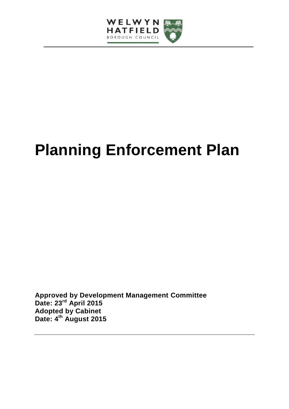

# **Planning Enforcement Plan**

**Approved by Development Management Committee Date: 23rd April 2015 Adopted by Cabinet Date: 4 th August 2015**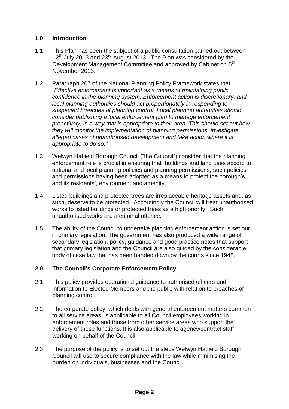# **1.0 Introduction**

- 1.1 This Plan has been the subject of a public consultation carried out between  $12^{th}$  July 2013 and 23<sup>rd</sup> August 2013. The Plan was considered by the Development Management Committee and approved by Cabinet on 5<sup>th</sup> November 2013.
- 1.2 Paragraph 207 of the National Planning Policy Framework states that *"Effective enforcement is important as a means of maintaining public confidence in the planning system. Enforcement action is discretionary, and local planning authorities should act proportionately in responding to suspected breaches of planning control. Local planning authorities should consider publishing a local enforcement plan to manage enforcement proactively, in a way that is appropriate to their area. This should set out how they will monitor the implementation of planning permissions, investigate alleged cases of unauthorised development and take action where it is appropriate to do so.".*
- 1.3 Welwyn Hatfield Borough Council ("the Council") consider that the planning enforcement role is crucial in ensuring that buildings and land uses accord to national and local planning policies and planning permissions; such policies and permissions having been adopted as a means to protect the borough's, and its residents', environment and amenity.
- 1.4 Listed buildings and protected trees are irreplaceable heritage assets and, as such, deserve to be protected. Accordingly the Council will treat unauthorised works to listed buildings or protected trees as a high priority. Such unauthorised works are a criminal offence.
- 1.5 The ability of the Council to undertake planning enforcement action is set out in primary legislation. The government has also produced a wide range of secondary legislation, policy, guidance and good practice notes that support that primary legislation and the Council are also guided by the considerable body of case law that has been handed down by the courts since 1948.

# **2.0 The Council's Corporate Enforcement Policy**

- 2.1 This policy provides operational guidance to authorised officers and information to Elected Members and the public with relation to breaches of planning control.
- 2.2 The corporate policy, which deals with general enforcement matters common to all service areas, is applicable to all Council employees working in enforcement roles and those from other service areas who support the delivery of these functions. It is also applicable to agency/contract staff working on behalf of the Council.
- 2.3 The purpose of the policy is to set out the steps Welwyn Hatfield Borough Council will use to secure compliance with the law while minimising the burden on individuals, businesses and the Council.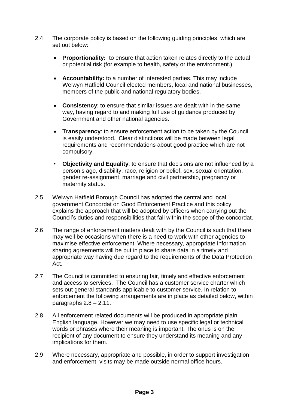- 2.4 The corporate policy is based on the following guiding principles, which are set out below:
	- **Proportionality:** to ensure that action taken relates directly to the actual or potential risk (for example to health, safety or the environment.)
	- **Accountability:** to a number of interested parties. This may include Welwyn Hatfield Council elected members, local and national businesses, members of the public and national regulatory bodies.
	- **Consistency**: to ensure that similar issues are dealt with in the same way, having regard to and making full use of guidance produced by Government and other national agencies.
	- **Transparency**: to ensure enforcement action to be taken by the Council is easily understood. Clear distinctions will be made between legal requirements and recommendations about good practice which are not compulsory.
	- **Objectivity and Equality**: to ensure that decisions are not influenced by a person's age, disability, race, religion or belief, sex, sexual orientation, gender re-assignment, marriage and civil partnership, pregnancy or maternity status.
- 2.5 Welwyn Hatfield Borough Council has adopted the central and local government Concordat on Good Enforcement Practice and this policy explains the approach that will be adopted by officers when carrying out the Council's duties and responsibilities that fall within the scope of the concordat.
- 2.6 The range of enforcement matters dealt with by the Council is such that there may well be occasions when there is a need to work with other agencies to maximise effective enforcement. Where necessary, appropriate information sharing agreements will be put in place to share data in a timely and appropriate way having due regard to the requirements of the Data Protection Act.
- 2.7 The Council is committed to ensuring fair, timely and effective enforcement and access to services. The Council has a customer service charter which sets out general standards applicable to customer service. In relation to enforcement the following arrangements are in place as detailed below, within paragraphs  $2.8 - 2.11$ .
- 2.8 All enforcement related documents will be produced in appropriate plain English language. However we may need to use specific legal or technical words or phrases where their meaning is important. The onus is on the recipient of any document to ensure they understand its meaning and any implications for them.
- 2.9 Where necessary, appropriate and possible, in order to support investigation and enforcement, visits may be made outside normal office hours.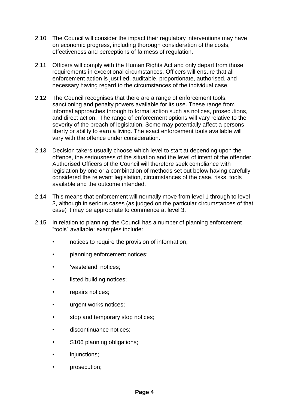- 2.10 The Council will consider the impact their regulatory interventions may have on economic progress, including thorough consideration of the costs, effectiveness and perceptions of fairness of regulation.
- 2.11 Officers will comply with the Human Rights Act and only depart from those requirements in exceptional circumstances. Officers will ensure that all enforcement action is justified, auditable, proportionate, authorised, and necessary having regard to the circumstances of the individual case.
- 2.12 The Council recognises that there are a range of enforcement tools, sanctioning and penalty powers available for its use. These range from informal approaches through to formal action such as notices, prosecutions, and direct action. The range of enforcement options will vary relative to the severity of the breach of legislation. Some may potentially affect a persons liberty or ability to earn a living. The exact enforcement tools available will vary with the offence under consideration.
- 2.13 Decision takers usually choose which level to start at depending upon the offence, the seriousness of the situation and the level of intent of the offender. Authorised Officers of the Council will therefore seek compliance with legislation by one or a combination of methods set out below having carefully considered the relevant legislation, circumstances of the case, risks, tools available and the outcome intended.
- 2.14 This means that enforcement will normally move from level 1 through to level 3, although in serious cases (as judged on the particular circumstances of that case) it may be appropriate to commence at level 3.
- 2.15 In relation to planning, the Council has a number of planning enforcement "tools" available; examples include:
	- notices to require the provision of information;
	- planning enforcement notices;
	- 'wasteland' notices;
	- listed building notices;
	- repairs notices;
	- urgent works notices;
	- stop and temporary stop notices;
	- discontinuance notices:
	- S106 planning obligations;
	- injunctions;
	- prosecution;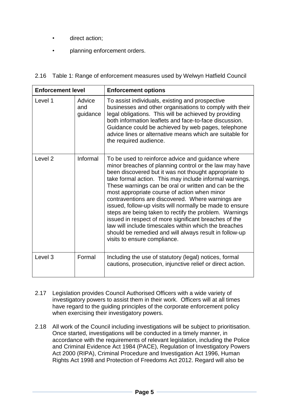- direct action;
- planning enforcement orders.

# 2.16 Table 1: Range of enforcement measures used by Welwyn Hatfield Council

| <b>Enforcement level</b> |                           | <b>Enforcement options</b>                                                                                                                                                                                                                                                                                                                                                                                                                                                                                                                                                                                                                                                                                                     |
|--------------------------|---------------------------|--------------------------------------------------------------------------------------------------------------------------------------------------------------------------------------------------------------------------------------------------------------------------------------------------------------------------------------------------------------------------------------------------------------------------------------------------------------------------------------------------------------------------------------------------------------------------------------------------------------------------------------------------------------------------------------------------------------------------------|
| Level 1                  | Advice<br>and<br>guidance | To assist individuals, existing and prospective<br>businesses and other organisations to comply with their<br>legal obligations. This will be achieved by providing<br>both information leaflets and face-to-face discussion.<br>Guidance could be achieved by web pages, telephone<br>advice lines or alternative means which are suitable for<br>the required audience.                                                                                                                                                                                                                                                                                                                                                      |
| Level <sub>2</sub>       | Informal                  | To be used to reinforce advice and guidance where<br>minor breaches of planning control or the law may have<br>been discovered but it was not thought appropriate to<br>take formal action. This may include informal warnings.<br>These warnings can be oral or written and can be the<br>most appropriate course of action when minor<br>contraventions are discovered. Where warnings are<br>issued, follow-up visits will normally be made to ensure<br>steps are being taken to rectify the problem. Warnings<br>issued in respect of more significant breaches of the<br>law will include timescales within which the breaches<br>should be remedied and will always result in follow-up<br>visits to ensure compliance. |
| Level <sub>3</sub>       | Formal                    | Including the use of statutory (legal) notices, formal<br>cautions, prosecution, injunctive relief or direct action.                                                                                                                                                                                                                                                                                                                                                                                                                                                                                                                                                                                                           |

- 2.17 Legislation provides Council Authorised Officers with a wide variety of investigatory powers to assist them in their work. Officers will at all times have regard to the guiding principles of the corporate enforcement policy when exercising their investigatory powers.
- 2.18 All work of the Council including investigations will be subject to prioritisation. Once started, investigations will be conducted in a timely manner, in accordance with the requirements of relevant legislation, including the Police and Criminal Evidence Act 1984 (PACE), Regulation of Investigatory Powers Act 2000 (RIPA), Criminal Procedure and Investigation Act 1996, Human Rights Act 1998 and Protection of Freedoms Act 2012. Regard will also be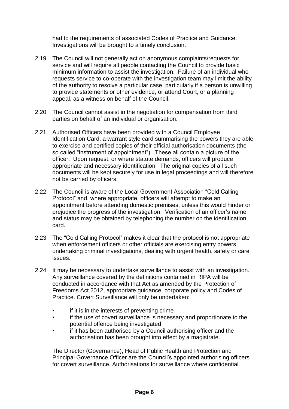had to the requirements of associated Codes of Practice and Guidance. Investigations will be brought to a timely conclusion.

- 2.19 The Council will not generally act on anonymous complaints/requests for service and will require all people contacting the Council to provide basic minimum information to assist the investigation. Failure of an individual who requests service to co-operate with the investigation team may limit the ability of the authority to resolve a particular case, particularly if a person is unwilling to provide statements or other evidence, or attend Court, or a planning appeal, as a witness on behalf of the Council.
- 2.20 The Council cannot assist in the negotiation for compensation from third parties on behalf of an individual or organisation.
- 2.21 Authorised Officers have been provided with a Council Employee Identification Card, a warrant style card summarising the powers they are able to exercise and certified copies of their official authorisation documents (the so called "instrument of appointment"). These all contain a picture of the officer. Upon request, or where statute demands, officers will produce appropriate and necessary identification. The original copies of all such documents will be kept securely for use in legal proceedings and will therefore not be carried by officers.
- 2.22 The Council is aware of the Local Government Association "Cold Calling Protocol" and, where appropriate, officers will attempt to make an appointment before attending domestic premises, unless this would hinder or prejudice the progress of the investigation. Verification of an officer's name and status may be obtained by telephoning the number on the identification card.
- 2.23 The "Cold Calling Protocol" makes it clear that the protocol is not appropriate when enforcement officers or other officials are exercising entry powers, undertaking criminal investigations, dealing with urgent health, safety or care issues.
- 2.24 It may be necessary to undertake surveillance to assist with an investigation. Any surveillance covered by the definitions contained in RIPA will be conducted in accordance with that Act as amended by the Protection of Freedoms Act 2012, appropriate guidance, corporate policy and Codes of Practice. Covert Surveillance will only be undertaken:
	- if it is in the interests of preventing crime
	- if the use of covert surveillance is necessary and proportionate to the potential offence being investigated
	- if it has been authorised by a Council authorising officer and the authorisation has been brought into effect by a magistrate.

The Director (Governance), Head of Public Health and Protection and Principal Governance Officer are the Council's appointed authorising officers for covert surveillance. Authorisations for surveillance where confidential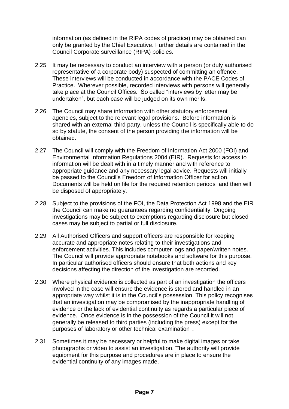information (as defined in the RIPA codes of practice) may be obtained can only be granted by the Chief Executive. Further details are contained in the Council Corporate surveillance (RIPA) policies.

- 2.25 It may be necessary to conduct an interview with a person (or duly authorised representative of a corporate body) suspected of committing an offence. These interviews will be conducted in accordance with the PACE Codes of Practice. Wherever possible, recorded interviews with persons will generally take place at the Council Offices. So called "interviews by letter may be undertaken", but each case will be judged on its own merits.
- 2.26 The Council may share information with other statutory enforcement agencies, subject to the relevant legal provisions. Before information is shared with an external third party, unless the Council is specifically able to do so by statute, the consent of the person providing the information will be obtained.
- 2.27 The Council will comply with the Freedom of Information Act 2000 (FOI) and Environmental Information Regulations 2004 (EIR). Requests for access to information will be dealt with in a timely manner and with reference to appropriate guidance and any necessary legal advice. Requests will initially be passed to the Council's Freedom of Information Officer for action. Documents will be held on file for the required retention periods and then will be disposed of appropriately.
- 2.28 Subject to the provisions of the FOI, the Data Protection Act 1998 and the EIR the Council can make no guarantees regarding confidentiality. Ongoing investigations may be subject to exemptions regarding disclosure but closed cases may be subject to partial or full disclosure.
- 2.29 All Authorised Officers and support officers are responsible for keeping accurate and appropriate notes relating to their investigations and enforcement activities. This includes computer logs and paper/written notes. The Council will provide appropriate notebooks and software for this purpose. In particular authorised officers should ensure that both actions and key decisions affecting the direction of the investigation are recorded.
- 2.30 Where physical evidence is collected as part of an investigation the officers involved in the case will ensure the evidence is stored and handled in an appropriate way whilst it is in the Council's possession. This policy recognises that an investigation may be compromised by the inappropriate handling of evidence or the lack of evidential continuity as regards a particular piece of evidence. Once evidence is in the possession of the Council it will not generally be released to third parties (including the press) except for the purposes of laboratory or other technical examination .
- 2.31 Sometimes it may be necessary or helpful to make digital images or take photographs or video to assist an investigation. The authority will provide equipment for this purpose and procedures are in place to ensure the evidential continuity of any images made.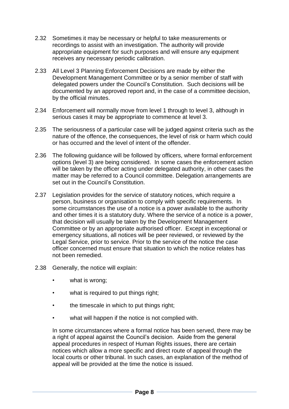- 2.32 Sometimes it may be necessary or helpful to take measurements or recordings to assist with an investigation. The authority will provide appropriate equipment for such purposes and will ensure any equipment receives any necessary periodic calibration.
- 2.33 All Level 3 Planning Enforcement Decisions are made by either the Development Management Committee or by a senior member of staff with delegated powers under the Council's Constitution. Such decisions will be documented by an approved report and, in the case of a committee decision, by the official minutes.
- 2.34 Enforcement will normally move from level 1 through to level 3, although in serious cases it may be appropriate to commence at level 3.
- 2.35 The seriousness of a particular case will be judged against criteria such as the nature of the offence, the consequences, the level of risk or harm which could or has occurred and the level of intent of the offender.
- 2.36 The following guidance will be followed by officers, where formal enforcement options (level 3) are being considered. In some cases the enforcement action will be taken by the officer acting under delegated authority, in other cases the matter may be referred to a Council committee. Delegation arrangements are set out in the Council's Constitution.
- 2.37 Legislation provides for the service of statutory notices, which require a person, business or organisation to comply with specific requirements. In some circumstances the use of a notice is a power available to the authority and other times it is a statutory duty. Where the service of a notice is a power, that decision will usually be taken by the Development Management Committee or by an appropriate authorised officer. Except in exceptional or emergency situations, all notices will be peer reviewed, or reviewed by the Legal Service, prior to service. Prior to the service of the notice the case officer concerned must ensure that situation to which the notice relates has not been remedied.
- 2.38 Generally, the notice will explain:
	- what is wrong;
	- what is required to put things right;
	- the timescale in which to put things right;
	- what will happen if the notice is not complied with.

In some circumstances where a formal notice has been served, there may be a right of appeal against the Council's decision. Aside from the general appeal procedures in respect of Human Rights issues, there are certain notices which allow a more specific and direct route of appeal through the local courts or other tribunal. In such cases, an explanation of the method of appeal will be provided at the time the notice is issued.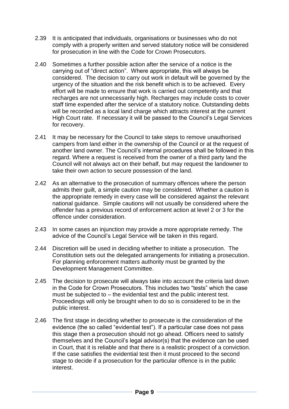- 2.39 It is anticipated that individuals, organisations or businesses who do not comply with a properly written and served statutory notice will be considered for prosecution in line with the Code for Crown Prosecutors.
- 2.40 Sometimes a further possible action after the service of a notice is the carrying out of "direct action". Where appropriate, this will always be considered. The decision to carry out work in default will be governed by the urgency of the situation and the risk benefit which is to be achieved. Every effort will be made to ensure that work is carried out competently and that recharges are not unnecessarily high. Recharges may include costs to cover staff time expended after the service of a statutory notice. Outstanding debts will be recorded as a local land charge which attracts interest at the current High Court rate. If necessary it will be passed to the Council's Legal Services for recovery.
- 2.41 It may be necessary for the Council to take steps to remove unauthorised campers from land either in the ownership of the Council or at the request of another land owner. The Council's internal procedures shall be followed in this regard. Where a request is received from the owner of a third party land the Council will not always act on their behalf, but may request the landowner to take their own action to secure possession of the land.
- 2.42 As an alternative to the prosecution of summary offences where the person admits their guilt, a simple caution may be considered. Whether a caution is the appropriate remedy in every case will be considered against the relevant national guidance. Simple cautions will not usually be considered where the offender has a previous record of enforcement action at level 2 or 3 for the offence under consideration.
- 2.43 In some cases an injunction may provide a more appropriate remedy. The advice of the Council's Legal Service will be taken in this regard.
- 2.44 Discretion will be used in deciding whether to initiate a prosecution. The Constitution sets out the delegated arrangements for initiating a prosecution. For planning enforcement matters authority must be granted by the Development Management Committee.
- 2.45 The decision to prosecute will always take into account the criteria laid down in the Code for Crown Prosecutors. This includes two "tests" which the case must be subjected to – the evidential test and the public interest test. Proceedings will only be brought when to do so is considered to be in the public interest.
- 2.46 The first stage in deciding whether to prosecute is the consideration of the evidence (the so called "evidential test"). If a particular case does not pass this stage then a prosecution should not go ahead. Officers need to satisfy themselves and the Council's legal advisor(s) that the evidence can be used in Court, that it is reliable and that there is a realistic prospect of a conviction. If the case satisfies the evidential test then it must proceed to the second stage to decide if a prosecution for the particular offence is in the public interest.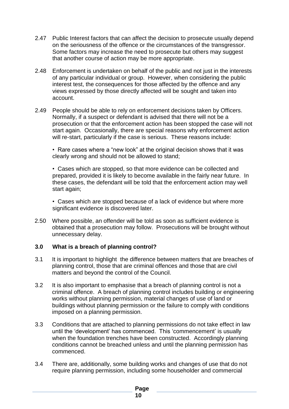- 2.47 Public Interest factors that can affect the decision to prosecute usually depend on the seriousness of the offence or the circumstances of the transgressor. Some factors may increase the need to prosecute but others may suggest that another course of action may be more appropriate.
- 2.48 Enforcement is undertaken on behalf of the public and not just in the interests of any particular individual or group. However, when considering the public interest test, the consequences for those affected by the offence and any views expressed by those directly affected will be sought and taken into account.
- 2.49 People should be able to rely on enforcement decisions taken by Officers. Normally, if a suspect or defendant is advised that there will not be a prosecution or that the enforcement action has been stopped the case will not start again. Occasionally, there are special reasons why enforcement action will re-start, particularly if the case is serious. These reasons include:

• Rare cases where a "new look" at the original decision shows that it was clearly wrong and should not be allowed to stand;

• Cases which are stopped, so that more evidence can be collected and prepared, provided it is likely to become available in the fairly near future. In these cases, the defendant will be told that the enforcement action may well start again;

• Cases which are stopped because of a lack of evidence but where more significant evidence is discovered later.

2.50 Where possible, an offender will be told as soon as sufficient evidence is obtained that a prosecution may follow. Prosecutions will be brought without unnecessary delay.

#### **3.0 What is a breach of planning control?**

- 3.1 It is important to highlight the difference between matters that are breaches of planning control, those that are criminal offences and those that are civil matters and beyond the control of the Council.
- 3.2 It is also important to emphasise that a breach of planning control is not a criminal offence. A breach of planning control includes building or engineering works without planning permission, material changes of use of land or buildings without planning permission or the failure to comply with conditions imposed on a planning permission.
- 3.3 Conditions that are attached to planning permissions do not take effect in law until the 'development' has commenced. This 'commencement' is usually when the foundation trenches have been constructed. Accordingly planning conditions cannot be breached unless and until the planning permission has commenced.
- 3.4 There are, additionally, some building works and changes of use that do not require planning permission, including some householder and commercial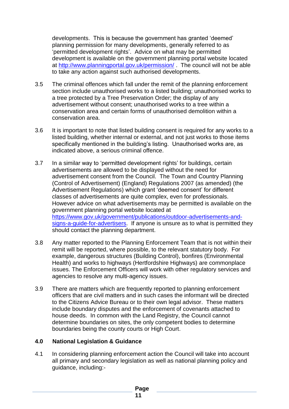developments. This is because the government has granted 'deemed' planning permission for many developments, generally referred to as 'permitted development rights'. Advice on what may be permitted development is available on the government planning portal website located at<http://www.planningportal.gov.uk/permission/> . The council will not be able to take any action against such authorised developments.

- 3.5 The criminal offences which fall under the remit of the planning enforcement section include unauthorised works to a listed building; unauthorised works to a tree protected by a Tree Preservation Order; the display of any advertisement without consent; unauthorised works to a tree within a conservation area and certain forms of unauthorised demolition within a conservation area.
- 3.6 It is important to note that listed building consent is required for any works to a listed building, whether internal or external, and not just works to those items specifically mentioned in the building's listing. Unauthorised works are, as indicated above, a serious criminal offence.
- 3.7 In a similar way to 'permitted development rights' for buildings, certain advertisements are allowed to be displayed without the need for advertisement consent from the Council. The Town and Country Planning (Control of Advertisement) (England) Regulations 2007 (as amended) (the Advertisement Regulations) which grant 'deemed consent' for different classes of advertisements are quite complex, even for professionals. However advice on what advertisements may be permitted is available on the government planning portal website located at [https://www.gov.uk/government/publications/outdoor-advertisements-and](https://www.gov.uk/government/publications/outdoor-advertisements-and-signs-a-guide-for-advertisers)[signs-a-guide-for-advertisers.](https://www.gov.uk/government/publications/outdoor-advertisements-and-signs-a-guide-for-advertisers) If anyone is unsure as to what is permitted they should contact the planning department.
- 3.8 Any matter reported to the Planning Enforcement Team that is not within their remit will be reported, where possible, to the relevant statutory body. For example, dangerous structures (Building Control), bonfires (Environmental Health) and works to highways (Hertfordshire Highways) are commonplace issues. The Enforcement Officers will work with other regulatory services and agencies to resolve any multi-agency issues.
- 3.9 There are matters which are frequently reported to planning enforcement officers that are civil matters and in such cases the informant will be directed to the Citizens Advice Bureau or to their own legal advisor. These matters include boundary disputes and the enforcement of covenants attached to house deeds. In common with the Land Registry, the Council cannot determine boundaries on sites, the only competent bodies to determine boundaries being the county courts or High Court.

#### **4.0 National Legislation & Guidance**

4.1 In considering planning enforcement action the Council will take into account all primary and secondary legislation as well as national planning policy and guidance, including:-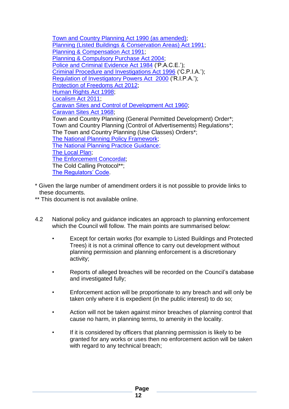[Town and Country Planning Act 1990 \(as amended\);](http://www.legislation.gov.uk/ukpga/1990/8/contents) [Planning \(Listed Buildings & Conservation Areas\) Act 1991;](http://www.legislation.gov.uk/ukpga/1990/9/contents) [Planning & Compensation Act 1991;](http://www.legislation.gov.uk/ukpga/1991/34/contents) [Planning & Compulsory Purchase Act 2004;](http://www.legislation.gov.uk/ukpga/2004/5/contents) [Police and Criminal Evidence Act 1984](http://www.legislation.gov.uk/ukpga/1984/60/contents) ('P.A.C.E.'); [Criminal Procedure and Investigations Act 1996](http://www.legislation.gov.uk/ukpga/1996/25/contents) ('C.P.I.A.'); [Regulation of Investigatory Powers Act 2000](http://www.legislation.gov.uk/ukpga/2000/23/contents) ('R.I.P.A.'); [Protection of Freedoms Act 2012;](http://www.legislation.gov.uk/ukpga/2012/9/contents) [Human Rights Act 1998;](http://www.legislation.gov.uk/ukpga/1998/42/contents) [Localism Act 2011;](http://www.legislation.gov.uk/ukpga/2011/20/contents) [Caravan Sites and Control of Development Act 1960;](http://www.legislation.gov.uk/ukpga/Eliz2/8-9/62/contents) [Caravan Sites Act 1968;](http://www.legislation.gov.uk/ukpga/1968/52/contents) Town and Country Planning (General Permitted Development) Order\*; Town and Country Planning (Control of Advertisements) Regulations\*; The Town and Country Planning (Use Classes) Orders\*; [The National Planning Policy Framework;](https://www.gov.uk/government/uploads/system/uploads/attachment_data/file/6077/2116950.pdf) [The National Planning Practice Guidance;](http://planningguidance.planningportal.gov.uk/) [The Local](http://www.welhat.gov.uk/districtplan) Plan; [The Enforcement Concordat;](http://webarchive.nationalarchives.gov.uk/20090609003228/http:/www.berr.gov.uk/files/file10150.pdf) The Cold Calling Protocol\*\*; [The Regulators' Code.](https://www.gov.uk/government/uploads/system/uploads/attachment_data/file/300126/14-705-regulators-code.pdf)

- \* Given the large number of amendment orders it is not possible to provide links to these documents.
- \*\* This document is not available online.
- 4.2 National policy and guidance indicates an approach to planning enforcement which the Council will follow. The main points are summarised below:
	- Except for certain works (for example to Listed Buildings and Protected Trees) it is not a criminal offence to carry out development without planning permission and planning enforcement is a discretionary activity;
	- Reports of alleged breaches will be recorded on the Council's database and investigated fully;
	- Enforcement action will be proportionate to any breach and will only be taken only where it is expedient (in the public interest) to do so;
	- Action will not be taken against minor breaches of planning control that cause no harm, in planning terms, to amenity in the locality.
	- If it is considered by officers that planning permission is likely to be granted for any works or uses then no enforcement action will be taken with regard to any technical breach;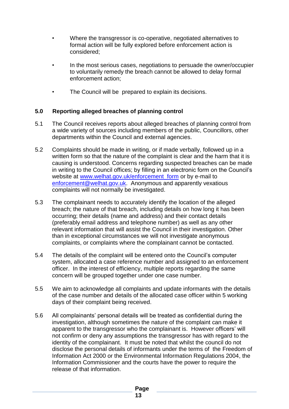- Where the transgressor is co-operative, negotiated alternatives to formal action will be fully explored before enforcement action is considered;
- In the most serious cases, negotiations to persuade the owner/occupier to voluntarily remedy the breach cannot be allowed to delay formal enforcement action;
- The Council will be prepared to explain its decisions.

# **5.0 Reporting alleged breaches of planning control**

- 5.1 The Council receives reports about alleged breaches of planning control from a wide variety of sources including members of the public, Councillors, other departments within the Council and external agencies.
- 5.2 Complaints should be made in writing, or if made verbally, followed up in a written form so that the nature of the complaint is clear and the harm that it is causing is understood. Concerns regarding suspected breaches can be made in writing to the Council offices; by filling in an electronic form on the Council's website at [www.welhat.gov.uk/enforcement\\_form](http://www.welhat.gov.uk/enforcement_form) or by e-mail to [enforcement@welhat.gov.uk.](mailto:enforcement@welhat.gov.uk) Anonymous and apparently vexatious complaints will not normally be investigated.
- 5.3 The complainant needs to accurately identify the location of the alleged breach; the nature of that breach, including details on how long it has been occurring; their details (name and address) and their contact details (preferably email address and telephone number) as well as any other relevant information that will assist the Council in their investigation. Other than in exceptional circumstances we will not investigate anonymous complaints, or complaints where the complainant cannot be contacted.
- 5.4 The details of the complaint will be entered onto the Council's computer system, allocated a case reference number and assigned to an enforcement officer. In the interest of efficiency, multiple reports regarding the same concern will be grouped together under one case number.
- 5.5 We aim to acknowledge all complaints and update informants with the details of the case number and details of the allocated case officer within 5 working days of their complaint being received.
- 5.6 All complainants' personal details will be treated as confidential during the investigation, although sometimes the nature of the complaint can make it apparent to the transgressor who the complainant is. However officers' will not confirm or deny any assumptions the transgressor has with regard to the identity of the complainant. It must be noted that whilst the council do not disclose the personal details of informants under the terms of the Freedom of Information Act 2000 or the Environmental Information Regulations 2004, the Information Commissioner and the courts have the power to require the release of that information.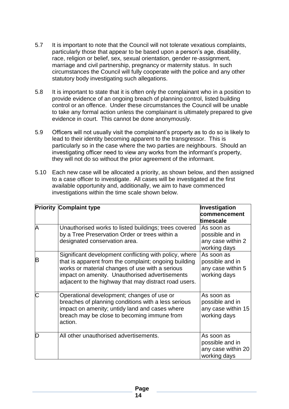- 5.7 It is important to note that the Council will not tolerate vexatious complaints, particularly those that appear to be based upon a person's age, disability, race, religion or belief, sex, sexual orientation, gender re-assignment, marriage and civil partnership, pregnancy or maternity status. In such circumstances the Council will fully cooperate with the police and any other statutory body investigating such allegations.
- 5.8 It is important to state that it is often only the complainant who in a position to provide evidence of an ongoing breach of planning control, listed building control or an offence. Under these circumstances the Council will be unable to take any formal action unless the complainant is ultimately prepared to give evidence in court. This cannot be done anonymously.
- 5.9 Officers will not usually visit the complainant's property as to do so is likely to lead to their identity becoming apparent to the transgressor. This is particularly so in the case where the two parties are neighbours. Should an investigating officer need to view any works from the informant's property, they will not do so without the prior agreement of the informant.
- 5.10 Each new case will be allocated a priority, as shown below, and then assigned to a case officer to investigate. All cases will be investigated at the first available opportunity and, additionally, we aim to have commenced investigations within the time scale shown below.

|   | <b>Priority Complaint type</b>                                                                                                                                                                                                                                                | Investigation<br>commencement<br>timescale                          |
|---|-------------------------------------------------------------------------------------------------------------------------------------------------------------------------------------------------------------------------------------------------------------------------------|---------------------------------------------------------------------|
| A | Unauthorised works to listed buildings; trees covered<br>by a Tree Preservation Order or trees within a<br>designated conservation area.                                                                                                                                      | As soon as<br>possible and in<br>any case within 2<br>working days  |
| B | Significant development conflicting with policy, where<br>that is apparent from the complaint; ongoing building<br>works or material changes of use with a serious<br>impact on amenity. Unauthorised advertisements<br>adjacent to the highway that may distract road users. | As soon as<br>possible and in<br>any case within 5<br>working days  |
| C | Operational development; changes of use or<br>breaches of planning conditions with a less serious<br>impact on amenity; untidy land and cases where<br>breach may be close to becoming immune from<br>action.                                                                 | As soon as<br>possible and in<br>any case within 15<br>working days |
| Ŋ | All other unauthorised advertisements.                                                                                                                                                                                                                                        | As soon as<br>possible and in<br>any case within 20<br>working days |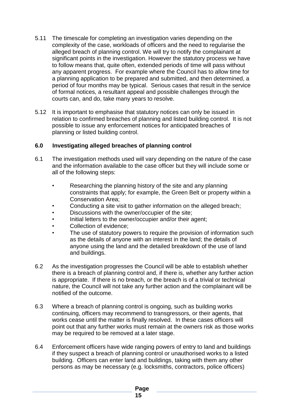- 5.11 The timescale for completing an investigation varies depending on the complexity of the case, workloads of officers and the need to regularise the alleged breach of planning control. We will try to notify the complainant at significant points in the investigation. However the statutory process we have to follow means that, quite often, extended periods of time will pass without any apparent progress. For example where the Council has to allow time for a planning application to be prepared and submitted, and then determined, a period of four months may be typical. Serious cases that result in the service of formal notices, a resultant appeal and possible challenges through the courts can, and do, take many years to resolve.
- 5.12 It is important to emphasise that statutory notices can only be issued in relation to confirmed breaches of planning and listed building control. It is not possible to issue any enforcement notices for anticipated breaches of planning or listed building control.

### **6.0 Investigating alleged breaches of planning control**

- 6.1 The investigation methods used will vary depending on the nature of the case and the information available to the case officer but they will include some or all of the following steps:
	- Researching the planning history of the site and any planning constraints that apply; for example, the Green Belt or property within a Conservation Area;
	- Conducting a site visit to gather information on the alleged breach;
	- Discussions with the owner/occupier of the site;
	- Initial letters to the owner/occupier and/or their agent;
	- Collection of evidence;
	- The use of statutory powers to require the provision of information such as the details of anyone with an interest in the land; the details of anyone using the land and the detailed breakdown of the use of land and buildings.
- 6.2 As the investigation progresses the Council will be able to establish whether there is a breach of planning control and, if there is, whether any further action is appropriate. If there is no breach, or the breach is of a trivial or technical nature, the Council will not take any further action and the complainant will be notified of the outcome.
- 6.3 Where a breach of planning control is ongoing, such as building works continuing, officers may recommend to transgressors, or their agents, that works cease until the matter is finally resolved. In these cases officers will point out that any further works must remain at the owners risk as those works may be required to be removed at a later stage.
- 6.4 Enforcement officers have wide ranging powers of entry to land and buildings if they suspect a breach of planning control or unauthorised works to a listed building. Officers can enter land and buildings, taking with them any other persons as may be necessary (e.g. locksmiths, contractors, police officers)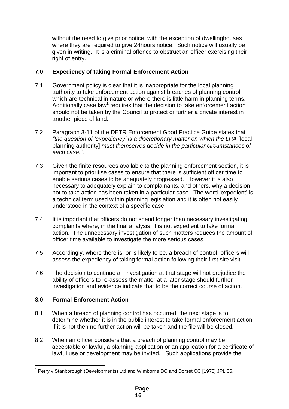without the need to give prior notice, with the exception of dwellinghouses where they are required to give 24hours notice. Such notice will usually be given in writing. It is a criminal offence to obstruct an officer exercising their right of entry.

# **7.0 Expediency of taking Formal Enforcement Action**

- 7.1 Government policy is clear that it is inappropriate for the local planning authority to take enforcement action against breaches of planning control which are technical in nature or where there is little harm in planning terms. Additionally case law**<sup>1</sup>** requires that the decision to take enforcement action should not be taken by the Council to protect or further a private interest in another piece of land.
- 7.2 Paragraph 3-11 of the DETR Enforcement Good Practice Guide states that *"the question of 'expediency' is a discretionary matter on which the LPA* [local planning authority] *must themselves decide in the particular circumstances of each case.*".
- 7.3 Given the finite resources available to the planning enforcement section, it is important to prioritise cases to ensure that there is sufficient officer time to enable serious cases to be adequately progressed. However it is also necessary to adequately explain to complainants, and others, why a decision not to take action has been taken in a particular case. The word 'expedient' is a technical term used within planning legislation and it is often not easily understood in the context of a specific case.
- 7.4 It is important that officers do not spend longer than necessary investigating complaints where, in the final analysis, it is not expedient to take formal action. The unnecessary investigation of such matters reduces the amount of officer time available to investigate the more serious cases.
- 7.5 Accordingly, where there is, or is likely to be, a breach of control, officers will assess the expediency of taking formal action following their first site visit.
- 7.6 The decision to continue an investigation at that stage will not prejudice the ability of officers to re-assess the matter at a later stage should further investigation and evidence indicate that to be the correct course of action.

# **8.0 Formal Enforcement Action**

- 8.1 When a breach of planning control has occurred, the next stage is to determine whether it is in the public interest to take formal enforcement action. If it is not then no further action will be taken and the file will be closed.
- 8.2 When an officer considers that a breach of planning control may be acceptable or lawful, a planning application or an application for a certificate of lawful use or development may be invited. Such applications provide the

<sup>1</sup> <sup>1</sup> Perry v Stanborough (Developments) Ltd and Wimborne DC and Dorset CC [1978] JPL 36.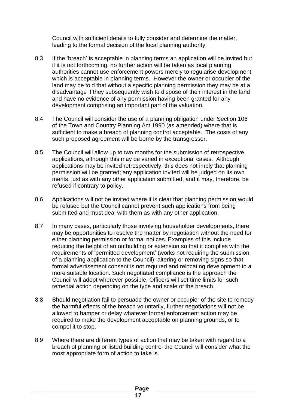Council with sufficient details to fully consider and determine the matter, leading to the formal decision of the local planning authority.

- 8.3 If the 'breach' is acceptable in planning terms an application will be invited but if it is not forthcoming, no further action will be taken as local planning authorities cannot use enforcement powers merely to regularise development which is acceptable in planning terms. However the owner or occupier of the land may be told that without a specific planning permission they may be at a disadvantage if they subsequently wish to dispose of their interest in the land and have no evidence of any permission having been granted for any development comprising an important part of the valuation.
- 8.4 The Council will consider the use of a planning obligation under Section 106 of the Town and Country Planning Act 1990 (as amended) where that is sufficient to make a breach of planning control acceptable. The costs of any such proposed agreement will be borne by the transgressor.
- 8.5 The Council will allow up to two months for the submission of retrospective applications, although this may be varied in exceptional cases. Although applications may be invited retrospectively, this does not imply that planning permission will be granted; any application invited will be judged on its own merits, just as with any other application submitted, and it may, therefore, be refused if contrary to policy.
- 8.6 Applications will not be invited where it is clear that planning permission would be refused but the Council cannot prevent such applications from being submitted and must deal with them as with any other application.
- 8.7 In many cases, particularly those involving householder developments, there may be opportunities to resolve the matter by negotiation without the need for either planning permission or formal notices. Examples of this include reducing the height of an outbuilding or extension so that it complies with the requirements of 'permitted development' (works not requiring the submission of a planning application to the Council); altering or removing signs so that formal advertisement consent is not required and relocating development to a more suitable location. Such negotiated compliance is the approach the Council will adopt wherever possible. Officers will set time limits for such remedial action depending on the type and scale of the breach.
- 8.8 Should negotiation fail to persuade the owner or occupier of the site to remedy the harmful effects of the breach voluntarily, further negotiations will not be allowed to hamper or delay whatever formal enforcement action may be required to make the development acceptable on planning grounds, or to compel it to stop.
- 8.9 Where there are different types of action that may be taken with regard to a breach of planning or listed building control the Council will consider what the most appropriate form of action to take is.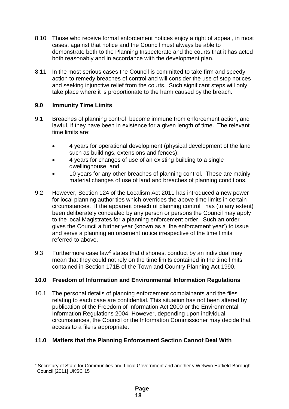- 8.10 Those who receive formal enforcement notices enjoy a right of appeal, in most cases, against that notice and the Council must always be able to demonstrate both to the Planning Inspectorate and the courts that it has acted both reasonably and in accordance with the development plan.
- 8.11 In the most serious cases the Council is committed to take firm and speedy action to remedy breaches of control and will consider the use of stop notices and seeking injunctive relief from the courts. Such significant steps will only take place where it is proportionate to the harm caused by the breach.

# **9.0 Immunity Time Limits**

- 9.1 Breaches of planning control become immune from enforcement action, and lawful, if they have been in existence for a given length of time. The relevant time limits are:
	- 4 years for operational development (physical development of the land such as buildings, extensions and fences);
	- 4 years for changes of use of an existing building to a single dwellinghouse; and
	- 10 years for any other breaches of planning control. These are mainly material changes of use of land and breaches of planning conditions.
- 9.2 However, Section 124 of the Localism Act 2011 has introduced a new power for local planning authorities which overrides the above time limits in certain circumstances. If the apparent breach of planning control , has (to any extent) been deliberately concealed by any person or persons the Council may apply to the local Magistrates for a planning enforcement order. Such an order gives the Council a further year (known as a 'the enforcement year') to issue and serve a planning enforcement notice irrespective of the time limits referred to above.
- 9.3 Furthermore case law<sup>2</sup> states that dishonest conduct by an individual may mean that they could not rely on the time limits contained in the time limits contained in Section 171B of the Town and Country Planning Act 1990.

# **10.0 Freedom of Information and Environmental Information Regulations**

10.1 The personal details of planning enforcement complainants and the files relating to each case are confidential. This situation has not been altered by publication of the Freedom of Information Act 2000 or the Environmental Information Regulations 2004. However, depending upon individual circumstances, the Council or the Information Commissioner may decide that access to a file is appropriate.

# **11.0 Matters that the Planning Enforcement Section Cannot Deal With**

<sup>1</sup>  $2$  Secretary of State for Communities and Local Government and another v Welwyn Hatfield Borough Council [2011] UKSC 15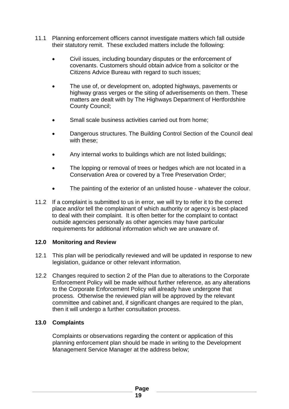- 11.1 Planning enforcement officers cannot investigate matters which fall outside their statutory remit. These excluded matters include the following:
	- Civil issues, including boundary disputes or the enforcement of covenants. Customers should obtain advice from a solicitor or the Citizens Advice Bureau with regard to such issues;
	- The use of, or development on, adopted highways, pavements or highway grass verges or the siting of advertisements on them. These matters are dealt with by The Highways Department of Hertfordshire County Council;
	- Small scale business activities carried out from home;
	- Dangerous structures. The Building Control Section of the Council deal with these;
	- Any internal works to buildings which are not listed buildings;
	- The lopping or removal of trees or hedges which are not located in a Conservation Area or covered by a Tree Preservation Order;
	- The painting of the exterior of an unlisted house whatever the colour.
- 11.2 If a complaint is submitted to us in error, we will try to refer it to the correct place and/or tell the complainant of which authority or agency is best-placed to deal with their complaint. It is often better for the complaint to contact outside agencies personally as other agencies may have particular requirements for additional information which we are unaware of.

# **12.0 Monitoring and Review**

- 12.1 This plan will be periodically reviewed and will be updated in response to new legislation, guidance or other relevant information.
- 12.2 Changes required to section 2 of the Plan due to alterations to the Corporate Enforcement Policy will be made without further reference, as any alterations to the Corporate Enforcement Policy will already have undergone that process. Otherwise the reviewed plan will be approved by the relevant committee and cabinet and, if significant changes are required to the plan, then it will undergo a further consultation process.

# **13.0 Complaints**

Complaints or observations regarding the content or application of this planning enforcement plan should be made in writing to the Development Management Service Manager at the address below;